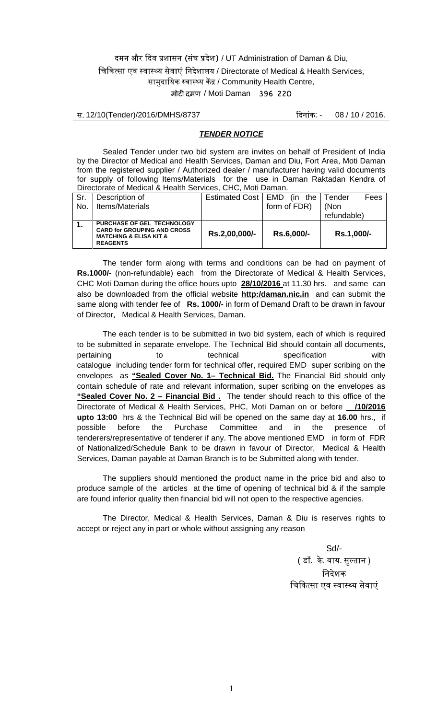12/10(Tender)/2016/DMHS/8737 : - 08 / 10 / 2016.

#### *TENDER NOTICE*

 Sealed Tender under two bid system are invites on behalf of President of India by the Director of Medical and Health Services, Daman and Diu, Fort Area, Moti Daman from the registered supplier / Authorized dealer / manufacturer having valid documents for supply of following Items/Materials for the use in Daman Raktadan Kendra of Directorate of Medical & Health Services, CHC, Moti Daman.

| <u>, Photoidio of Modibal &amp; Hodith Obi Mood, OHO, Moti Daman.</u> |                                                                                                                              |                      |              |                |  |
|-----------------------------------------------------------------------|------------------------------------------------------------------------------------------------------------------------------|----------------------|--------------|----------------|--|
| Sr.                                                                   | Description of                                                                                                               | Estimated Cost   EMD | (in<br>the   | Fees<br>Tender |  |
| No.                                                                   | Items/Materials                                                                                                              |                      | form of FDR) | (Non           |  |
|                                                                       |                                                                                                                              |                      |              | refundable)    |  |
| $\mathbf{1}$ .                                                        | PURCHASE OF GEL TECHNOLOGY<br><b>CARD for GROUPING AND CROSS</b><br><b>MATCHING &amp; ELISA KIT &amp;</b><br><b>REAGENTS</b> | Rs.2,00,000/-        | Rs.6,000/-   | Rs.1,000/-     |  |

The tender form along with terms and conditions can be had on payment of **Rs.1000/-** (non-refundable) each from the Directorate of Medical & Health Services, CHC Moti Daman during the office hours upto **28/10/2016** at 11.30 hrs. and same can also be downloaded from the official website **http:/daman.nic.in** and can submit the same along with tender fee of **Rs. 1000/-** in form of Demand Draft to be drawn in favour of Director, Medical & Health Services, Daman.

 The each tender is to be submitted in two bid system, each of which is required to be submitted in separate envelope. The Technical Bid should contain all documents, pertaining to technical specification with catalogue including tender form for technical offer, required EMD super scribing on the envelopes as **"Sealed Cover No. 1– Technical Bid.** The Financial Bid should only contain schedule of rate and relevant information, super scribing on the envelopes as **"Sealed Cover No. 2 – Financial Bid .** The tender should reach to this office of the Directorate of Medical & Health Services, PHC, Moti Daman on or before **\_\_/10/2016 upto 13:00** hrs & the Technical Bid will be opened on the same day at **16.00** hrs., if possible before the Purchase Committee and in the presence of tenderers/representative of tenderer if any. The above mentioned EMD in form of FDR of Nationalized/Schedule Bank to be drawn in favour of Director, Medical & Health Services, Daman payable at Daman Branch is to be Submitted along with tender.

The suppliers should mentioned the product name in the price bid and also to produce sample of the articles at the time of opening of technical bid & if the sample are found inferior quality then financial bid will not open to the respective agencies.

 The Director, Medical & Health Services, Daman & Diu is reserves rights to accept or reject any in part or whole without assigning any reason

> Sd/- ( डॉ के. वाय. सुल्तान ) निदेशक चिकित्सा एव स्वास्थ्य सेवाएं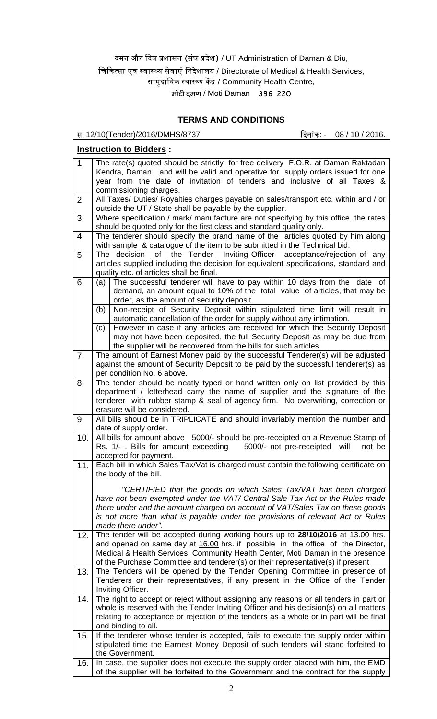मोटी दमण / Moti Daman 396 220

# **TERMS AND CONDITIONS**

12/10(Tender)/2016/DMHS/8737 : - 08 / 10 / 2016.

#### **Instruction to Bidders :**

| 1.  | The rate(s) quoted should be strictly for free delivery F.O.R. at Daman Raktadan<br>Kendra, Daman and will be valid and operative for supply orders issued for one              |  |  |  |
|-----|---------------------------------------------------------------------------------------------------------------------------------------------------------------------------------|--|--|--|
|     | year from the date of invitation of tenders and inclusive of all Taxes &<br>commissioning charges.                                                                              |  |  |  |
| 2.  | All Taxes/ Duties/ Royalties charges payable on sales/transport etc. within and / or                                                                                            |  |  |  |
| 3.  | outside the UT / State shall be payable by the supplier.<br>Where specification / mark/ manufacture are not specifying by this office, the rates                                |  |  |  |
|     | should be quoted only for the first class and standard quality only.                                                                                                            |  |  |  |
| 4.  | The tenderer should specify the brand name of the articles quoted by him along<br>with sample & catalogue of the item to be submitted in the Technical bid.                     |  |  |  |
| 5.  | of the Tender<br>Inviting Officer acceptance/rejection of any<br>The decision                                                                                                   |  |  |  |
|     | articles supplied including the decision for equivalent specifications, standard and                                                                                            |  |  |  |
| 6.  | quality etc. of articles shall be final.<br>The successful tenderer will have to pay within 10 days from the date of<br>(a)                                                     |  |  |  |
|     | demand, an amount equal to 10% of the total value of articles, that may be<br>order, as the amount of security deposit.                                                         |  |  |  |
|     | Non-receipt of Security Deposit within stipulated time limit will result in<br>(b)                                                                                              |  |  |  |
|     | automatic cancellation of the order for supply without any intimation.<br>However in case if any articles are received for which the Security Deposit<br>(c)                    |  |  |  |
|     | may not have been deposited, the full Security Deposit as may be due from                                                                                                       |  |  |  |
| 7.  | the supplier will be recovered from the bills for such articles.<br>The amount of Earnest Money paid by the successful Tenderer(s) will be adjusted                             |  |  |  |
|     | against the amount of Security Deposit to be paid by the successful tenderer(s) as                                                                                              |  |  |  |
|     | per condition No. 6 above.                                                                                                                                                      |  |  |  |
| 8.  | The tender should be neatly typed or hand written only on list provided by this<br>department / letterhead carry the name of supplier and the signature of the                  |  |  |  |
|     | tenderer with rubber stamp & seal of agency firm. No overwriting, correction or                                                                                                 |  |  |  |
| 9.  | erasure will be considered.<br>All bills should be in TRIPLICATE and should invariably mention the number and                                                                   |  |  |  |
|     | date of supply order.                                                                                                                                                           |  |  |  |
| 10. | All bills for amount above 5000/- should be pre-receipted on a Revenue Stamp of<br>Rs. 1/- . Bills for amount exceeding<br>5000/- not pre-receipted will<br>not be              |  |  |  |
|     | accepted for payment.                                                                                                                                                           |  |  |  |
| 11. | Each bill in which Sales Tax/Vat is charged must contain the following certificate on<br>the body of the bill.                                                                  |  |  |  |
|     | "CERTIFIED that the goods on which Sales Tax/VAT has been charged                                                                                                               |  |  |  |
|     | have not been exempted under the VAT/ Central Sale Tax Act or the Rules made<br>there under and the amount charged on account of VAT/Sales Tax on these goods                   |  |  |  |
|     | is not more than what is payable under the provisions of relevant Act or Rules                                                                                                  |  |  |  |
| 12. | made there under".<br>The tender will be accepted during working hours up to 28/10/2016 at 13.00 hrs.                                                                           |  |  |  |
|     | and opened on same day at 16.00 hrs. if possible in the office of the Director,                                                                                                 |  |  |  |
|     | Medical & Health Services, Community Health Center, Moti Daman in the presence                                                                                                  |  |  |  |
| 13. | of the Purchase Committee and tenderer(s) or their representative(s) if present<br>The Tenders will be opened by the Tender Opening Committee in presence of                    |  |  |  |
|     | Tenderers or their representatives, if any present in the Office of the Tender<br>Inviting Officer.                                                                             |  |  |  |
| 14. | The right to accept or reject without assigning any reasons or all tenders in part or                                                                                           |  |  |  |
|     | whole is reserved with the Tender Inviting Officer and his decision(s) on all matters<br>relating to acceptance or rejection of the tenders as a whole or in part will be final |  |  |  |
|     | and binding to all.                                                                                                                                                             |  |  |  |
| 15. | If the tenderer whose tender is accepted, fails to execute the supply order within<br>stipulated time the Earnest Money Deposit of such tenders will stand forfeited to         |  |  |  |
|     | the Government.                                                                                                                                                                 |  |  |  |
| 16. | In case, the supplier does not execute the supply order placed with him, the EMD<br>of the supplier will be forfeited to the Government and the contract for the supply         |  |  |  |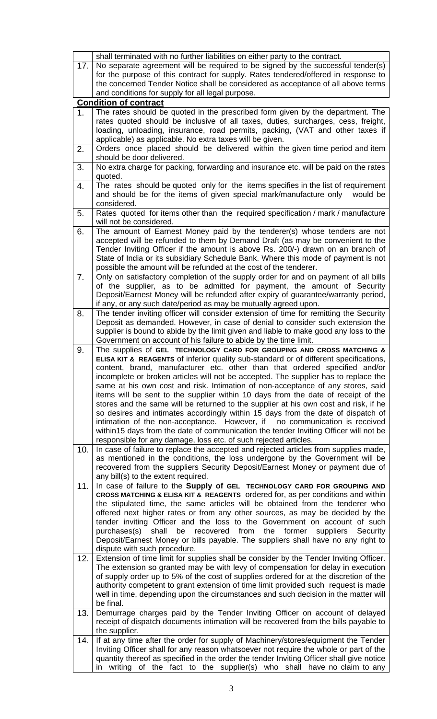|     | shall terminated with no further liabilities on either party to the contract.                                                                                      |  |  |  |  |
|-----|--------------------------------------------------------------------------------------------------------------------------------------------------------------------|--|--|--|--|
| 17. | No separate agreement will be required to be signed by the successful tender(s)                                                                                    |  |  |  |  |
|     | for the purpose of this contract for supply. Rates tendered/offered in response to                                                                                 |  |  |  |  |
|     | the concerned Tender Notice shall be considered as acceptance of all above terms                                                                                   |  |  |  |  |
|     | and conditions for supply for all legal purpose.                                                                                                                   |  |  |  |  |
|     | <b>Condition of contract</b>                                                                                                                                       |  |  |  |  |
| 1.  | The rates should be quoted in the prescribed form given by the department. The                                                                                     |  |  |  |  |
|     | rates quoted should be inclusive of all taxes, duties, surcharges, cess, freight,                                                                                  |  |  |  |  |
|     | loading, unloading, insurance, road permits, packing, (VAT and other taxes if                                                                                      |  |  |  |  |
|     | applicable) as applicable. No extra taxes will be given.                                                                                                           |  |  |  |  |
| 2.  | Orders once placed should be delivered within the given time period and item                                                                                       |  |  |  |  |
|     | should be door delivered.                                                                                                                                          |  |  |  |  |
| 3.  | No extra charge for packing, forwarding and insurance etc. will be paid on the rates                                                                               |  |  |  |  |
|     | quoted.                                                                                                                                                            |  |  |  |  |
| 4.  | The rates should be quoted only for the items specifies in the list of requirement                                                                                 |  |  |  |  |
|     | and should be for the items of given special mark/manufacture only<br>would be<br>considered.                                                                      |  |  |  |  |
|     | Rates quoted for items other than the required specification / mark / manufacture                                                                                  |  |  |  |  |
| 5.  | will not be considered.                                                                                                                                            |  |  |  |  |
|     | The amount of Earnest Money paid by the tenderer(s) whose tenders are not                                                                                          |  |  |  |  |
| 6.  | accepted will be refunded to them by Demand Draft (as may be convenient to the                                                                                     |  |  |  |  |
|     | Tender Inviting Officer if the amount is above Rs. 200/-) drawn on an branch of                                                                                    |  |  |  |  |
|     | State of India or its subsidiary Schedule Bank. Where this mode of payment is not                                                                                  |  |  |  |  |
|     | possible the amount will be refunded at the cost of the tenderer.                                                                                                  |  |  |  |  |
| 7.  | Only on satisfactory completion of the supply order for and on payment of all bills                                                                                |  |  |  |  |
|     | of the supplier, as to be admitted for payment, the amount of Security                                                                                             |  |  |  |  |
|     | Deposit/Earnest Money will be refunded after expiry of guarantee/warranty period,                                                                                  |  |  |  |  |
|     | if any, or any such date/period as may be mutually agreed upon.                                                                                                    |  |  |  |  |
| 8.  | The tender inviting officer will consider extension of time for remitting the Security                                                                             |  |  |  |  |
|     | Deposit as demanded. However, in case of denial to consider such extension the                                                                                     |  |  |  |  |
|     | supplier is bound to abide by the limit given and liable to make good any loss to the                                                                              |  |  |  |  |
|     | Government on account of his failure to abide by the time limit.                                                                                                   |  |  |  |  |
| 9.  | The supplies of GEL TECHNOLOGY CARD FOR GROUPING AND CROSS MATCHING &                                                                                              |  |  |  |  |
|     | ELISA KIT & REAGENTS of inferior quality sub-standard or of different specifications,                                                                              |  |  |  |  |
|     | content, brand, manufacturer etc. other than that ordered specified and/or                                                                                         |  |  |  |  |
|     | incomplete or broken articles will not be accepted. The supplier has to replace the                                                                                |  |  |  |  |
|     | same at his own cost and risk. Intimation of non-acceptance of any stores, said                                                                                    |  |  |  |  |
|     | items will be sent to the supplier within 10 days from the date of receipt of the                                                                                  |  |  |  |  |
|     | stores and the same will be returned to the supplier at his own cost and risk, if he                                                                               |  |  |  |  |
|     | so desires and intimates accordingly within 15 days from the date of dispatch of                                                                                   |  |  |  |  |
|     | intimation of the non-acceptance. However, if no communication is received<br>within15 days from the date of communication the tender Inviting Officer will not be |  |  |  |  |
|     | responsible for any damage, loss etc. of such rejected articles.                                                                                                   |  |  |  |  |
| 10. | In case of failure to replace the accepted and rejected articles from supplies made,                                                                               |  |  |  |  |
|     | as mentioned in the conditions, the loss undergone by the Government will be                                                                                       |  |  |  |  |
|     | recovered from the suppliers Security Deposit/Earnest Money or payment due of                                                                                      |  |  |  |  |
|     | any bill(s) to the extent required.                                                                                                                                |  |  |  |  |
| 11. | In case of failure to the Supply of GEL TECHNOLOGY CARD FOR GROUPING AND                                                                                           |  |  |  |  |
|     | CROSS MATCHING & ELISA KIT & REAGENTS ordered for, as per conditions and within                                                                                    |  |  |  |  |
|     | the stipulated time, the same articles will be obtained from the tenderer who                                                                                      |  |  |  |  |
|     | offered next higher rates or from any other sources, as may be decided by the                                                                                      |  |  |  |  |
|     | tender inviting Officer and the loss to the Government on account of such                                                                                          |  |  |  |  |
|     | recovered from<br>purchases(s)<br>shall<br>be<br>the<br>former<br>suppliers<br>Security                                                                            |  |  |  |  |
|     | Deposit/Earnest Money or bills payable. The suppliers shall have no any right to                                                                                   |  |  |  |  |
|     | dispute with such procedure.                                                                                                                                       |  |  |  |  |
| 12. | Extension of time limit for supplies shall be consider by the Tender Inviting Officer.                                                                             |  |  |  |  |
|     | The extension so granted may be with levy of compensation for delay in execution                                                                                   |  |  |  |  |
|     | of supply order up to 5% of the cost of supplies ordered for at the discretion of the                                                                              |  |  |  |  |
|     | authority competent to grant extension of time limit provided such request is made                                                                                 |  |  |  |  |
|     | well in time, depending upon the circumstances and such decision in the matter will                                                                                |  |  |  |  |
|     | be final.<br>Demurrage charges paid by the Tender Inviting Officer on account of delayed                                                                           |  |  |  |  |
| 13. | receipt of dispatch documents intimation will be recovered from the bills payable to                                                                               |  |  |  |  |
|     | the supplier.                                                                                                                                                      |  |  |  |  |
| 14. | If at any time after the order for supply of Machinery/stores/equipment the Tender                                                                                 |  |  |  |  |
|     | Inviting Officer shall for any reason whatsoever not require the whole or part of the                                                                              |  |  |  |  |
|     | quantity thereof as specified in the order the tender Inviting Officer shall give notice                                                                           |  |  |  |  |
|     | writing of the fact to the supplier(s) who shall have no claim to any<br>in                                                                                        |  |  |  |  |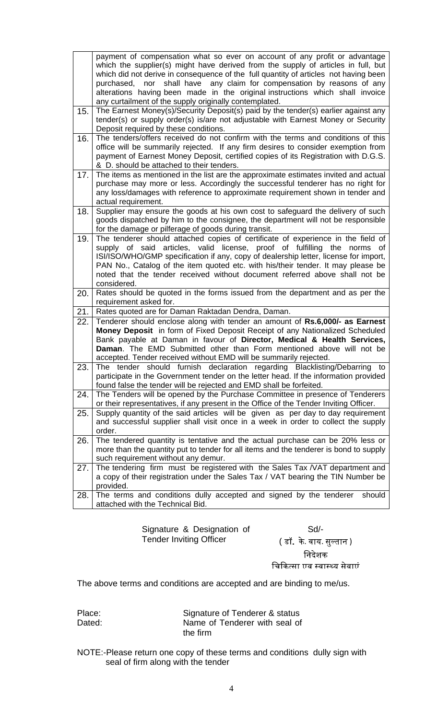|     | payment of compensation what so ever on account of any profit or advantage<br>which the supplier(s) might have derived from the supply of articles in full, but<br>which did not derive in consequence of the full quantity of articles not having been<br>shall have any claim for compensation by reasons of any<br>purchased,<br>nor<br>alterations having been made in the original instructions which shall invoice                        |
|-----|-------------------------------------------------------------------------------------------------------------------------------------------------------------------------------------------------------------------------------------------------------------------------------------------------------------------------------------------------------------------------------------------------------------------------------------------------|
| 15. | any curtailment of the supply originally contemplated.<br>The Earnest Money(s)/Security Deposit(s) paid by the tender(s) earlier against any<br>tender(s) or supply order(s) is/are not adjustable with Earnest Money or Security<br>Deposit required by these conditions.                                                                                                                                                                      |
| 16. | The tenders/offers received do not confirm with the terms and conditions of this<br>office will be summarily rejected. If any firm desires to consider exemption from<br>payment of Earnest Money Deposit, certified copies of its Registration with D.G.S.<br>& D. should be attached to their tenders.                                                                                                                                        |
| 17. | The items as mentioned in the list are the approximate estimates invited and actual<br>purchase may more or less. Accordingly the successful tenderer has no right for<br>any loss/damages with reference to approximate requirement shown in tender and<br>actual requirement.                                                                                                                                                                 |
| 18. | Supplier may ensure the goods at his own cost to safeguard the delivery of such<br>goods dispatched by him to the consignee, the department will not be responsible<br>for the damage or pilferage of goods during transit.                                                                                                                                                                                                                     |
| 19. | The tenderer should attached copies of certificate of experience in the field of<br>supply of said articles, valid license, proof of fulfilling<br>the<br>norms<br>οf<br>ISI/ISO/WHO/GMP specification if any, copy of dealership letter, license for import,<br>PAN No., Catalog of the item quoted etc. with his/their tender. It may please be<br>noted that the tender received without document referred above shall not be<br>considered. |
| 20. | Rates should be quoted in the forms issued from the department and as per the<br>requirement asked for.                                                                                                                                                                                                                                                                                                                                         |
| 21. | Rates quoted are for Daman Raktadan Dendra, Daman.                                                                                                                                                                                                                                                                                                                                                                                              |
| 22. | Tenderer should enclose along with tender an amount of Rs.6,000/- as Earnest<br>Money Deposit in form of Fixed Deposit Receipt of any Nationalized Scheduled<br>Bank payable at Daman in favour of Director, Medical & Health Services,<br>Daman. The EMD Submitted other than Form mentioned above will not be<br>accepted. Tender received without EMD will be summarily rejected.                                                            |
| 23  | The tender should furnish declaration regarding Blacklisting/Debarring<br>to l<br>participate in the Government tender on the letter head. If the information provided<br>found false the tender will be rejected and EMD shall be forfeited.                                                                                                                                                                                                   |
| 24. | The Tenders will be opened by the Purchase Committee in presence of Tenderers<br>or their representatives, if any present in the Office of the Tender Inviting Officer.                                                                                                                                                                                                                                                                         |
| 25. | Supply quantity of the said articles will be given as per day to day requirement<br>and successful supplier shall visit once in a week in order to collect the supply<br>order.                                                                                                                                                                                                                                                                 |
| 26. | The tendered quantity is tentative and the actual purchase can be 20% less or<br>more than the quantity put to tender for all items and the tenderer is bond to supply<br>such requirement without any demur.                                                                                                                                                                                                                                   |
| 27. | The tendering firm must be registered with the Sales Tax /VAT department and<br>a copy of their registration under the Sales Tax / VAT bearing the TIN Number be<br>provided.                                                                                                                                                                                                                                                                   |
| 28. | The terms and conditions dully accepted and signed by the tenderer<br>should<br>attached with the Technical Bid.                                                                                                                                                                                                                                                                                                                                |

Signature & Designation of Tender Inviting Officer

Sd/-

( डॉ. के. वाय. सुल्तान ) निदेशक

चिकित्सा एव स्वास्थ्य सेवाएं

The above terms and conditions are accepted and are binding to me/us.

| Place: | Signature of Tenderer & status |
|--------|--------------------------------|
| Dated: | Name of Tenderer with seal of  |
|        | the firm                       |

NOTE:-Please return one copy of these terms and conditions dully sign with seal of firm along with the tender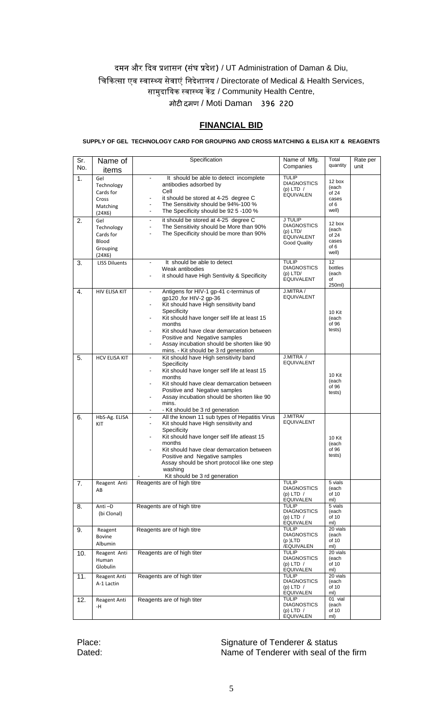### **FINANCIAL BID**

**SUPPLY OF GEL TECHNOLOGY CARD FOR GROUPING AND CROSS MATCHING & ELISA KIT & REAGENTS**

| Sr.<br>No. | Name of<br>items                                              | Specification                                                                                                                                                                                                                                                                                                                                                                                         | Name of Mfg.<br>Companies                                                               | Total<br>quantity                                  | Rate per<br>unit |
|------------|---------------------------------------------------------------|-------------------------------------------------------------------------------------------------------------------------------------------------------------------------------------------------------------------------------------------------------------------------------------------------------------------------------------------------------------------------------------------------------|-----------------------------------------------------------------------------------------|----------------------------------------------------|------------------|
| 1.         | Gel<br>Technology<br>Cards for<br>Cross<br>Matching<br>(24X6) | It should be able to detect incomplete<br>$\blacksquare$<br>antibodies adsorbed by<br>Cell<br>it should be stored at 4-25 degree C<br>$\blacksquare$<br>The Sensitivity should be 94%-100 %<br>$\blacksquare$<br>The Specificity should be 92 5 -100 %<br>$\blacksquare$                                                                                                                              | <b>TULIP</b><br><b>DIAGNOSTICS</b><br>(p) LTD $/$<br><b>EQUIVALEN</b>                   | 12 box<br>(each<br>of 24<br>cases<br>of 6<br>well) |                  |
| 2.         | Gel<br>Technology<br>Cards for<br>Blood<br>Grouping<br>(24X6) | it should be stored at 4-25 degree C<br>$\blacksquare$<br>The Sensitivity should be More than 90%<br>÷.<br>The Specificity should be more than 90%<br>$\blacksquare$                                                                                                                                                                                                                                  | J TULIP<br><b>DIAGNOSTICS</b><br>$(p)$ LTD/<br><b>EQUIVALENT</b><br><b>Good Quality</b> | 12 box<br>(each<br>of 24<br>cases<br>of 6<br>well) |                  |
| 3.         | <b>LISS Diluents</b>                                          | It should be able to detect<br>Weak antibodies<br>it should have High Sentivity & Specificity                                                                                                                                                                                                                                                                                                         | <b>TULIP</b><br><b>DIAGNOSTICS</b><br>$(p)$ LTD/<br><b>EQUIVALENT</b>                   | 12<br>bottles<br>(each<br>of<br>250ml)             |                  |
| 4.         | HIV ELISA KIT                                                 | Antigens for HIV-1 gp-41 c-terminus of<br>$\blacksquare$<br>qp120, for HIV-2 qp-36<br>Kit should have High sensitivity band<br>$\overline{\phantom{0}}$<br>Specificity<br>Kit should have longer self life at least 15<br>months<br>Kit should have clear demarcation between<br>Positive and Negative samples<br>Assay incubation should be shorten like 90<br>mins. - Kit should be 3 rd generation | J.MITRA /<br><b>EQUIVALENT</b>                                                          | 10 Kit<br>(each<br>of 96<br>tests)                 |                  |
| 5.         | <b>HCV ELISA KIT</b>                                          | Kit should have High sensitivity band<br>$\blacksquare$<br>Specificity<br>Kit should have longer self life at least 15<br>٠<br>months<br>Kit should have clear demarcation between<br>$\overline{\phantom{0}}$<br>Positive and Negative samples<br>Assay incubation should be shorten like 90<br>$\overline{\phantom{a}}$<br>mins.<br>- Kit should be 3 rd generation                                 | J.MITRA /<br>EQUIVALENT                                                                 | 10 Kit<br>(each<br>of 96<br>tests)                 |                  |
| 6.         | HbS-Ag. ELISA<br>KIT                                          | All the known 11 sub types of Hepatitis Virus<br>$\blacksquare$<br>Kit should have High sensitivity and<br>Specificity<br>Kit should have longer self life atleast 15<br>months<br>Kit should have clear demarcation between<br>Positive and Negative samples<br>Assay should be short protocol like one step<br>washing<br>Kit should be 3 rd generation                                             | J.MITRA/<br><b>EQUIVALENT</b>                                                           | 10 Kit<br>(each<br>of 96<br>tests)                 |                  |
| 7.         | Reagent Anti<br>AB                                            | Reagents are of high titre                                                                                                                                                                                                                                                                                                                                                                            | <b>TULIP</b><br><b>DIAGNOSTICS</b><br>(p) LTD $/$<br><b>EQUIVALEN</b>                   | 5 vials<br>(each<br>of 10<br>ml)                   |                  |
| 8.         | Anti-D<br>(bi Clonal)                                         | Reagents are of high titre                                                                                                                                                                                                                                                                                                                                                                            | TULIP<br><b>DIAGNOSTICS</b><br>(p) LTD $/$<br><b>EQUIVALEN</b>                          | 5 vials<br>(each<br>of 10<br>ml)                   |                  |
| 9.         | Reagent<br>Bovine<br>Albumin                                  | Reagents are of high titre                                                                                                                                                                                                                                                                                                                                                                            | <b>TULIP</b><br><b>DIAGNOSTICS</b><br>(p)LTD<br>/EQUIVALEN                              | 20 vials<br>(each<br>of 10<br>ml)                  |                  |
| 10.        | Reagent Anti<br>Human<br>Globulin                             | Reagents are of high titer                                                                                                                                                                                                                                                                                                                                                                            | TULIP<br><b>DIAGNOSTICS</b><br>(p) LTD $/$<br><b>EQUIVALEN</b>                          | 20 vials<br>(each<br>of 10<br>ml)                  |                  |
| 11.        | Reagent Anti<br>A-1 Lactin                                    | Reagents are of high titer                                                                                                                                                                                                                                                                                                                                                                            | <b>TULIP</b><br><b>DIAGNOSTICS</b><br>(p) LTD $/$<br>EQUIVALEN                          | 20 vials<br>(each<br>of 10<br>ml)                  |                  |
| 12.        | Reagent Anti<br>-H                                            | Reagents are of high titer                                                                                                                                                                                                                                                                                                                                                                            | TULIP<br><b>DIAGNOSTICS</b><br>(p) LTD $/$<br><b>EQUIVALEN</b>                          | 01 vial<br>(each<br>of 10<br>ml)                   |                  |

Place:<br>
Dated:<br>
Dated:<br>
Dated:<br>
Signature of Tenderer with seal of t Name of Tenderer with seal of the firm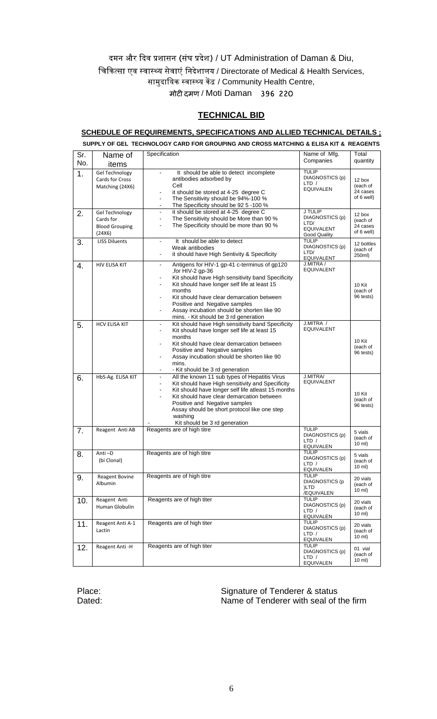#### **TECHNICAL BID**

#### **SCHEDULE OF REQUIREMENTS, SPECIFICATIONS AND ALLIED TECHNICAL DETAILS ;**

|            |                                                                                      | SUPPLY OF GEL TECHNOLOGY CARD FOR GROUPING AND CROSS MATCHING & ELISA KIT & REAGENTS                                                                                                                                                                                                                                                                                                                                 |                                                                         |                                              |
|------------|--------------------------------------------------------------------------------------|----------------------------------------------------------------------------------------------------------------------------------------------------------------------------------------------------------------------------------------------------------------------------------------------------------------------------------------------------------------------------------------------------------------------|-------------------------------------------------------------------------|----------------------------------------------|
| Sr.<br>No. | Name of<br>items                                                                     | Specification                                                                                                                                                                                                                                                                                                                                                                                                        | Name of Mfg.<br>Companies                                               | Total<br>quantity                            |
| 1.<br>2.   | <b>Gel Technology</b><br>Cards for Cross<br>Matching (24X6)<br><b>Gel Technology</b> | It should be able to detect incomplete<br>antibodies adsorbed by<br>Cell<br>it should be stored at 4-25 degree C<br>The Sensitivity should be 94%-100 %<br>$\blacksquare$<br>The Specificity should be 92 5 -100 %<br>it should be stored at 4-25 degree C<br>$\blacksquare$                                                                                                                                         | <b>TULIP</b><br>DIAGNOSTICS (p)<br>LTD /<br><b>EQUIVALEN</b><br>J TULIP | 12 box<br>(each of<br>24 cases<br>of 6 well) |
|            | Cards for<br><b>Blood Grouping</b><br>(24X6)                                         | The Sensitivity should be More than 90 %<br>$\overline{\phantom{a}}$<br>The Specificity should be more than 90 %<br>$\blacksquare$                                                                                                                                                                                                                                                                                   | DIAGNOSTICS (p)<br>LTD/<br><b>EQUIVALENT</b><br><b>Good Quality</b>     | 12 box<br>(each of<br>24 cases<br>of 6 well) |
| 3.         | <b>LISS Diluents</b>                                                                 | It should be able to detect<br>$\blacksquare$<br>Weak antibodies<br>it should have High Sentivity & Specificity<br>$\blacksquare$                                                                                                                                                                                                                                                                                    | <b>TULIP</b><br>DIAGNOSTICS (p)<br>LTD/<br>EQUIVALENT                   | 12 bottles<br>(each of<br>250ml)             |
| 4.         | HIV ELISA KIT                                                                        | Antigens for HIV-1 gp-41 c-terminus of gp120<br>$\blacksquare$<br>,for HIV-2 gp-36<br>Kit should have High sensitivity band Specificity<br>Kit should have longer self life at least 15<br>$\blacksquare$<br>months<br>Kit should have clear demarcation between<br>Positive and Negative samples<br>Assay incubation should be shorten like 90<br>$\overline{\phantom{a}}$<br>mins. - Kit should be 3 rd generation | J.MITRA /<br><b>EQUIVALENT</b>                                          | 10 Kit<br>(each of<br>96 tests)              |
| 5.         | <b>HCV ELISA KIT</b>                                                                 | Kit should have High sensitivity band Specificity<br>$\blacksquare$<br>Kit should have longer self life at least 15<br>$\overline{\phantom{a}}$<br>months<br>Kit should have clear demarcation between<br>Positive and Negative samples<br>Assay incubation should be shorten like 90<br>mins.<br>- Kit should be 3 rd generation                                                                                    | J.MITRA /<br><b>EQUIVALENT</b>                                          | 10 Kit<br>(each of<br>96 tests)              |
| 6.         | HbS-Ag. ELISA KIT                                                                    | All the known 11 sub types of Hepatitis Virus<br>Kit should have High sensitivity and Specificity<br>$\blacksquare$<br>Kit should have longer self life atleast 15 months<br>$\blacksquare$<br>Kit should have clear demarcation between<br>$\blacksquare$<br>Positive and Negative samples<br>Assay should be short protocol like one step<br>washing<br>Kit should be 3 rd generation                              | J.MITRA/<br><b>EQUIVALENT</b>                                           | 10 Kit<br>(each of<br>96 tests)              |
| 7.         | Reagent Anti AB                                                                      | Reagents are of high titre                                                                                                                                                                                                                                                                                                                                                                                           | <b>TULIP</b><br>DIAGNOSTICS (p)<br>LTD /<br><b>EQUIVALEN</b>            | 5 vials<br>(each of<br>10 ml)                |
| 8.         | Anti-D<br>(bi Clonal)                                                                | Reagents are of high titre                                                                                                                                                                                                                                                                                                                                                                                           | <b>TULIP</b><br>DIAGNOSTICS (p)<br>LTD /<br><b>EQUIVALEN</b>            | 5 vials<br>(each of<br>10 ml)                |
| 9.         | <b>Reagent Bovine</b><br>Albumin                                                     | Reagents are of high titre                                                                                                                                                                                                                                                                                                                                                                                           | TULIP<br>DIAGNOSTICS (p<br>)LTD<br>/EQUIVALEN                           | 20 vials<br>(each of<br>10 ml)               |
| 10.        | Reagent Anti<br>Human Globulin                                                       | Reagents are of high titer                                                                                                                                                                                                                                                                                                                                                                                           | <b>TULIP</b><br>DIAGNOSTICS (p)<br>LTD /<br><b>EQUIVALEN</b>            | 20 vials<br>(each of<br>10 ml)               |
| 11.        | Reagent Anti A-1<br>Lactin                                                           | Reagents are of high titer                                                                                                                                                                                                                                                                                                                                                                                           | <b>TULIP</b><br>DIAGNOSTICS (p)<br>LTD /<br><b>EQUIVALEN</b>            | 20 vials<br>(each of<br>10 ml)               |
| 12.        | Reagent Anti-H                                                                       | Reagents are of high titer                                                                                                                                                                                                                                                                                                                                                                                           | <b>TULIP</b><br>DIAGNOSTICS (p)<br>LTD /<br><b>EQUIVALEN</b>            | 01 vial<br>(each of<br>10 ml)                |

#### Place: Place: Signature of Tenderer & status<br>
Dated: Signature of Tenderer with seal of t Name of Tenderer with seal of the firm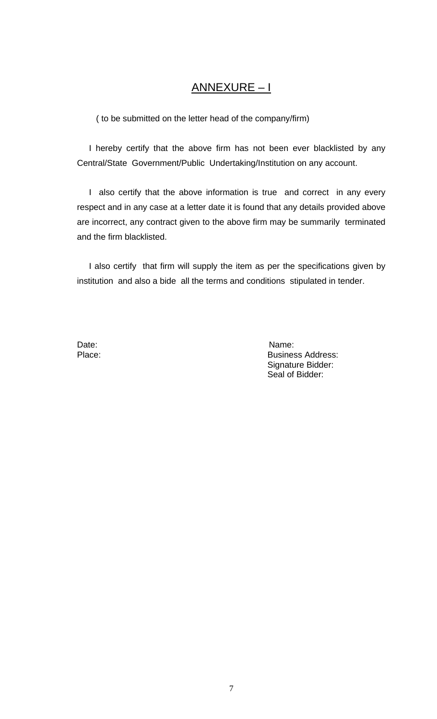# ANNEXURE – I

( to be submitted on the letter head of the company/firm)

 I hereby certify that the above firm has not been ever blacklisted by any Central/State Government/Public Undertaking/Institution on any account.

 I also certify that the above information is true and correct in any every respect and in any case at a letter date it is found that any details provided above are incorrect, any contract given to the above firm may be summarily terminated and the firm blacklisted.

 I also certify that firm will supply the item as per the specifications given by institution and also a bide all the terms and conditions stipulated in tender.

Date: Name: Name: Name: Name: Name: Name: Name: Name: Name: Name: Name: Name: Name: Name: Name: Name: Name: Name:  $\mathbb{N}$ Place: Business Address: Signature Bidder: Seal of Bidder: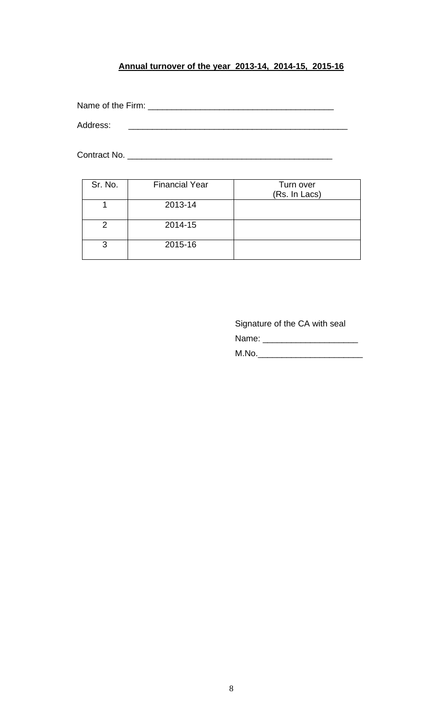# **Annual turnover of the year 2013-14, 2014-15, 2015-16**

Name of the Firm: \_\_\_\_\_\_\_\_\_\_\_\_\_\_\_\_\_\_\_\_\_\_\_\_\_\_\_\_\_\_\_\_\_\_\_\_\_\_\_

Address: \_\_\_\_\_\_\_\_\_\_\_\_\_\_\_\_\_\_\_\_\_\_\_\_\_\_\_\_\_\_\_\_\_\_\_\_\_\_\_\_\_\_\_\_\_\_

Contract No. \_\_\_\_\_\_\_\_\_\_\_\_\_\_\_\_\_\_\_\_\_\_\_\_\_\_\_\_\_\_\_\_\_\_\_\_\_\_\_\_\_\_\_

| Sr. No. | <b>Financial Year</b> | Turn over<br>(Rs. In Lacs) |
|---------|-----------------------|----------------------------|
|         | 2013-14               |                            |
| 2       | 2014-15               |                            |
| 3       | 2015-16               |                            |

Signature of the CA with seal Name: \_\_\_\_\_\_\_\_\_\_\_\_\_\_\_\_\_\_\_\_ M.No.\_\_\_\_\_\_\_\_\_\_\_\_\_\_\_\_\_\_\_\_\_\_